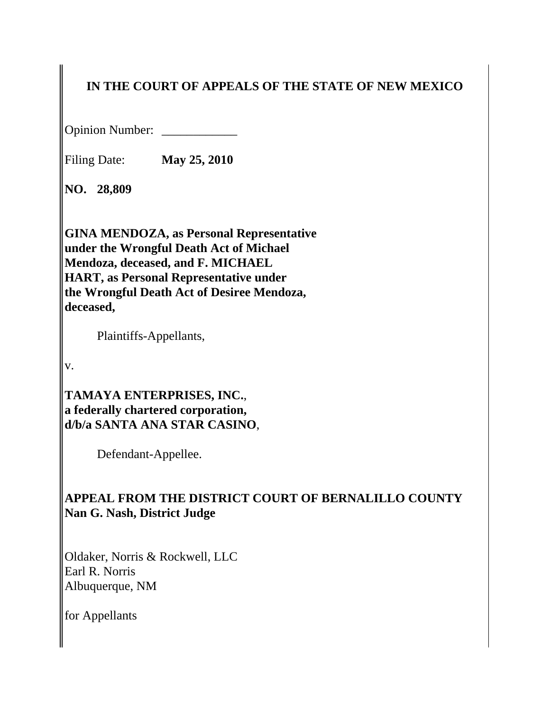# **IN THE COURT OF APPEALS OF THE STATE OF NEW MEXICO**

Opinion Number: \_\_\_\_\_\_\_\_\_\_\_\_

Filing Date: **May 25, 2010**

**NO. 28,809**

**GINA MENDOZA, as Personal Representative under the Wrongful Death Act of Michael Mendoza, deceased, and F. MICHAEL HART, as Personal Representative under the Wrongful Death Act of Desiree Mendoza, deceased,**

Plaintiffs-Appellants,

v.

**TAMAYA ENTERPRISES, INC.**, **a federally chartered corporation, d/b/a SANTA ANA STAR CASINO**,

Defendant-Appellee.

# **APPEAL FROM THE DISTRICT COURT OF BERNALILLO COUNTY Nan G. Nash, District Judge**

Oldaker, Norris & Rockwell, LLC Earl R. Norris Albuquerque, NM

for Appellants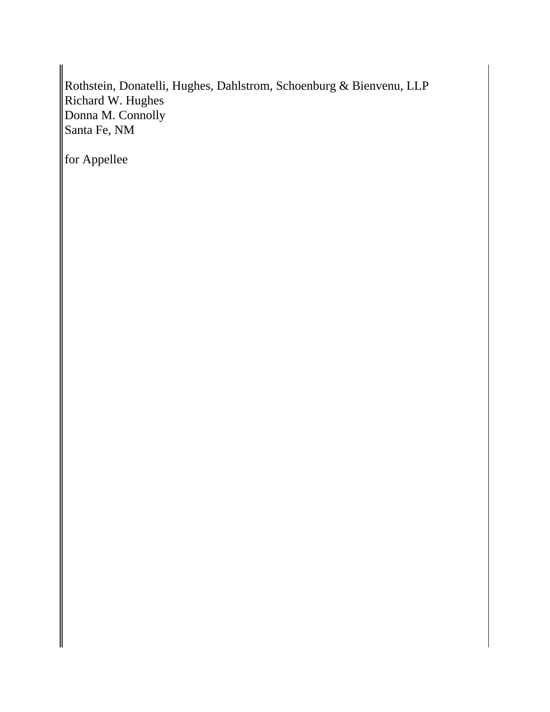Rothstein, Donatelli, Hughes, Dahlstrom, Schoenburg & Bienvenu, LLP Richard W. Hughes Donna M. Connolly Santa Fe, NM

for Appellee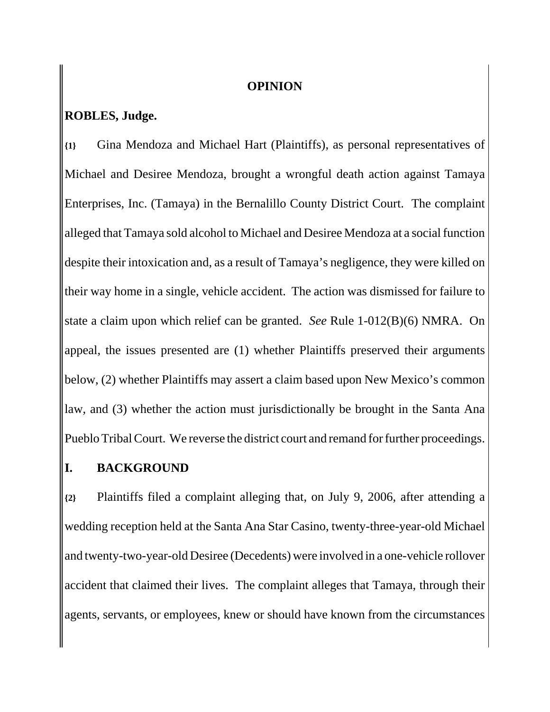#### **OPINION**

# **ROBLES, Judge.**

**{1}** Gina Mendoza and Michael Hart (Plaintiffs), as personal representatives of Michael and Desiree Mendoza, brought a wrongful death action against Tamaya Enterprises, Inc. (Tamaya) in the Bernalillo County District Court. The complaint alleged that Tamaya sold alcohol to Michael and Desiree Mendoza at a social function despite their intoxication and, as a result of Tamaya's negligence, they were killed on their way home in a single, vehicle accident. The action was dismissed for failure to state a claim upon which relief can be granted. *See* Rule 1-012(B)(6) NMRA. On appeal, the issues presented are (1) whether Plaintiffs preserved their arguments below, (2) whether Plaintiffs may assert a claim based upon New Mexico's common law, and (3) whether the action must jurisdictionally be brought in the Santa Ana Pueblo Tribal Court. We reverse the district court and remand for further proceedings.

### **I. BACKGROUND**

**{2}** Plaintiffs filed a complaint alleging that, on July 9, 2006, after attending a wedding reception held at the Santa Ana Star Casino, twenty-three-year-old Michael and twenty-two-year-old Desiree (Decedents) were involved in a one-vehicle rollover accident that claimed their lives. The complaint alleges that Tamaya, through their agents, servants, or employees, knew or should have known from the circumstances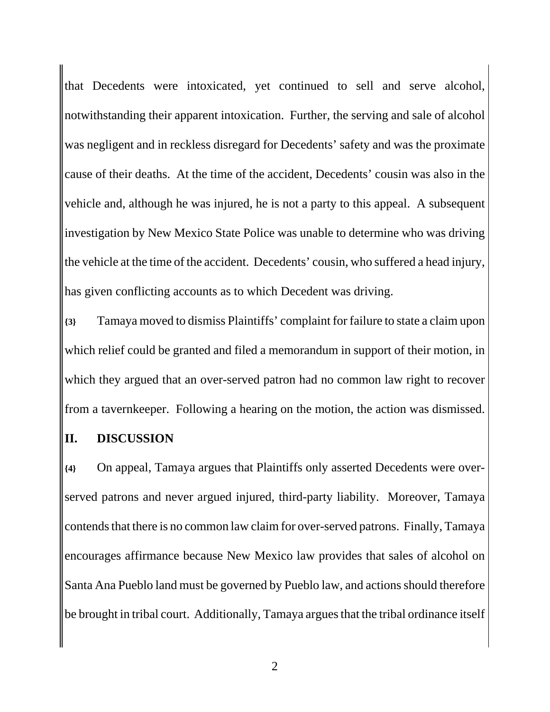that Decedents were intoxicated, yet continued to sell and serve alcohol, notwithstanding their apparent intoxication. Further, the serving and sale of alcohol was negligent and in reckless disregard for Decedents' safety and was the proximate cause of their deaths. At the time of the accident, Decedents' cousin was also in the vehicle and, although he was injured, he is not a party to this appeal. A subsequent investigation by New Mexico State Police was unable to determine who was driving the vehicle at the time of the accident. Decedents' cousin, who suffered a head injury, has given conflicting accounts as to which Decedent was driving.

**{3}** Tamaya moved to dismiss Plaintiffs' complaint for failure to state a claim upon which relief could be granted and filed a memorandum in support of their motion, in which they argued that an over-served patron had no common law right to recover from a tavernkeeper. Following a hearing on the motion, the action was dismissed.

#### **II. DISCUSSION**

**{4}** On appeal, Tamaya argues that Plaintiffs only asserted Decedents were overserved patrons and never argued injured, third-party liability. Moreover, Tamaya contends that there is no common law claim for over-served patrons. Finally, Tamaya encourages affirmance because New Mexico law provides that sales of alcohol on Santa Ana Pueblo land must be governed by Pueblo law, and actions should therefore be brought in tribal court. Additionally, Tamaya argues that the tribal ordinance itself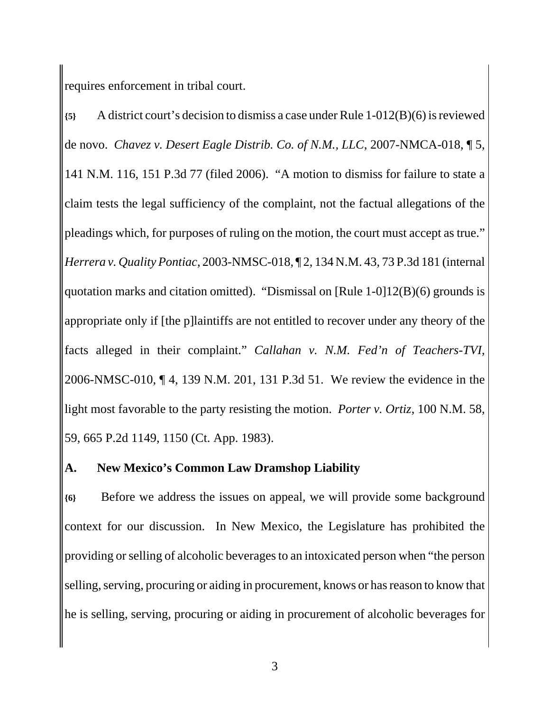requires enforcement in tribal court.

**{5}** A district court's decision to dismiss a case under Rule 1-012(B)(6) is reviewed de novo. *Chavez v. Desert Eagle Distrib. Co. of N.M., LLC*, 2007-NMCA-018, ¶ 5, 141 N.M. 116, 151 P.3d 77 (filed 2006). "A motion to dismiss for failure to state a claim tests the legal sufficiency of the complaint, not the factual allegations of the pleadings which, for purposes of ruling on the motion, the court must accept as true." *Herrera v. Quality Pontiac*, 2003-NMSC-018, ¶ 2, 134 N.M. 43, 73 P.3d 181 (internal quotation marks and citation omitted). "Dismissal on [Rule 1-0]12(B)(6) grounds is appropriate only if [the p]laintiffs are not entitled to recover under any theory of the facts alleged in their complaint." *Callahan v. N.M. Fed'n of Teachers-TVI*, 2006-NMSC-010, ¶ 4, 139 N.M. 201, 131 P.3d 51. We review the evidence in the light most favorable to the party resisting the motion. *Porter v. Ortiz*, 100 N.M. 58, 59, 665 P.2d 1149, 1150 (Ct. App. 1983).

### **A. New Mexico's Common Law Dramshop Liability**

**{6}** Before we address the issues on appeal, we will provide some background context for our discussion. In New Mexico, the Legislature has prohibited the providing or selling of alcoholic beverages to an intoxicated person when "the person selling, serving, procuring or aiding in procurement, knows or has reason to know that he is selling, serving, procuring or aiding in procurement of alcoholic beverages for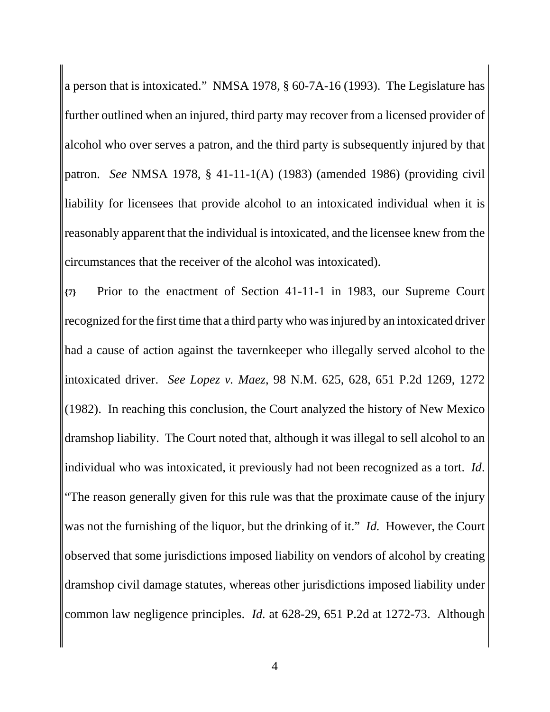a person that is intoxicated." NMSA 1978, § 60-7A-16 (1993). The Legislature has further outlined when an injured, third party may recover from a licensed provider of alcohol who over serves a patron, and the third party is subsequently injured by that patron. *See* NMSA 1978, § 41-11-1(A) (1983) (amended 1986) (providing civil liability for licensees that provide alcohol to an intoxicated individual when it is reasonably apparent that the individual is intoxicated, and the licensee knew from the circumstances that the receiver of the alcohol was intoxicated).

**{7}** Prior to the enactment of Section 41-11-1 in 1983, our Supreme Court recognized for the first time that a third party who was injured by an intoxicated driver had a cause of action against the tavernkeeper who illegally served alcohol to the intoxicated driver. *See Lopez v. Maez*, 98 N.M. 625, 628, 651 P.2d 1269, 1272 (1982). In reaching this conclusion, the Court analyzed the history of New Mexico dramshop liability. The Court noted that, although it was illegal to sell alcohol to an individual who was intoxicated, it previously had not been recognized as a tort. *Id*. "The reason generally given for this rule was that the proximate cause of the injury was not the furnishing of the liquor, but the drinking of it." *Id.* However, the Court observed that some jurisdictions imposed liability on vendors of alcohol by creating dramshop civil damage statutes, whereas other jurisdictions imposed liability under common law negligence principles. *Id.* at 628-29, 651 P.2d at 1272-73. Although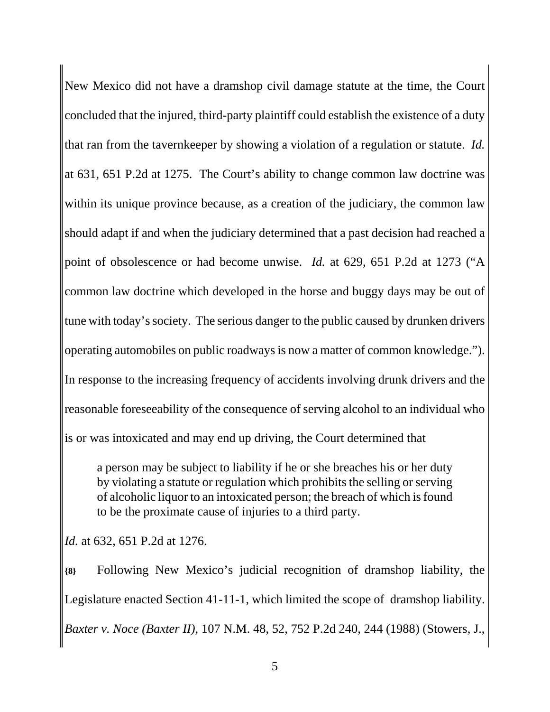New Mexico did not have a dramshop civil damage statute at the time, the Court concluded that the injured, third-party plaintiff could establish the existence of a duty that ran from the tavernkeeper by showing a violation of a regulation or statute. *Id.* at 631, 651 P.2d at 1275. The Court's ability to change common law doctrine was within its unique province because, as a creation of the judiciary, the common law should adapt if and when the judiciary determined that a past decision had reached a point of obsolescence or had become unwise. *Id.* at 629, 651 P.2d at 1273 ("A common law doctrine which developed in the horse and buggy days may be out of tune with today's society. The serious danger to the public caused by drunken drivers operating automobiles on public roadways is now a matter of common knowledge."). In response to the increasing frequency of accidents involving drunk drivers and the reasonable foreseeability of the consequence of serving alcohol to an individual who is or was intoxicated and may end up driving, the Court determined that

a person may be subject to liability if he or she breaches his or her duty by violating a statute or regulation which prohibits the selling or serving of alcoholic liquor to an intoxicated person; the breach of which is found to be the proximate cause of injuries to a third party.

*Id.* at 632, 651 P.2d at 1276.

**{8}** Following New Mexico's judicial recognition of dramshop liability, the Legislature enacted Section 41-11-1, which limited the scope of dramshop liability. *Baxter v. Noce (Baxter II)*, 107 N.M. 48, 52, 752 P.2d 240, 244 (1988) (Stowers, J.,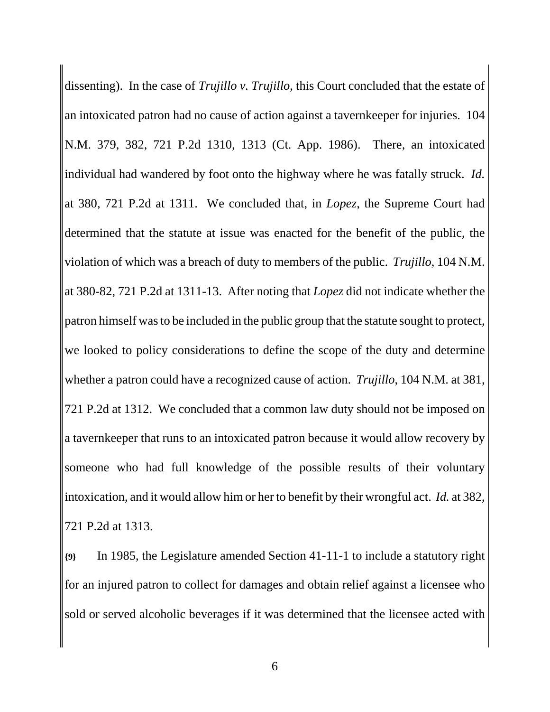dissenting). In the case of *Trujillo v. Trujillo*, this Court concluded that the estate of an intoxicated patron had no cause of action against a tavernkeeper for injuries. 104 N.M. 379, 382, 721 P.2d 1310, 1313 (Ct. App. 1986). There, an intoxicated individual had wandered by foot onto the highway where he was fatally struck. *Id.* at 380, 721 P.2d at 1311. We concluded that, in *Lopez*, the Supreme Court had determined that the statute at issue was enacted for the benefit of the public, the violation of which was a breach of duty to members of the public. *Trujillo*, 104 N.M. at 380-82, 721 P.2d at 1311-13. After noting that *Lopez* did not indicate whether the patron himself was to be included in the public group that the statute sought to protect, we looked to policy considerations to define the scope of the duty and determine whether a patron could have a recognized cause of action. *Trujillo*, 104 N.M. at 381, 721 P.2d at 1312. We concluded that a common law duty should not be imposed on a tavernkeeper that runs to an intoxicated patron because it would allow recovery by someone who had full knowledge of the possible results of their voluntary intoxication, and it would allow him or her to benefit by their wrongful act. *Id.* at 382, 721 P.2d at 1313.

**{9}** In 1985, the Legislature amended Section 41-11-1 to include a statutory right for an injured patron to collect for damages and obtain relief against a licensee who sold or served alcoholic beverages if it was determined that the licensee acted with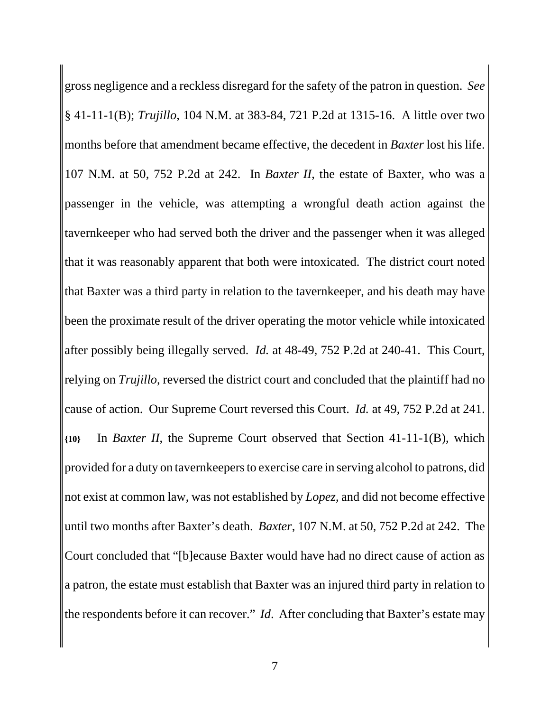gross negligence and a reckless disregard for the safety of the patron in question. *See* § 41-11-1(B); *Trujillo*, 104 N.M. at 383-84, 721 P.2d at 1315-16. A little over two months before that amendment became effective, the decedent in *Baxter* lost his life. 107 N.M. at 50, 752 P.2d at 242. In *Baxter II*, the estate of Baxter, who was a passenger in the vehicle, was attempting a wrongful death action against the tavernkeeper who had served both the driver and the passenger when it was alleged that it was reasonably apparent that both were intoxicated. The district court noted that Baxter was a third party in relation to the tavernkeeper, and his death may have been the proximate result of the driver operating the motor vehicle while intoxicated after possibly being illegally served. *Id.* at 48-49, 752 P.2d at 240-41. This Court, relying on *Trujillo*, reversed the district court and concluded that the plaintiff had no cause of action. Our Supreme Court reversed this Court. *Id.* at 49, 752 P.2d at 241. **{10}** In *Baxter II*, the Supreme Court observed that Section 41-11-1(B), which provided for a duty on tavernkeepers to exercise care in serving alcohol to patrons, did not exist at common law, was not established by *Lopez*, and did not become effective until two months after Baxter's death. *Baxter*, 107 N.M. at 50, 752 P.2d at 242. The Court concluded that "[b]ecause Baxter would have had no direct cause of action as a patron, the estate must establish that Baxter was an injured third party in relation to the respondents before it can recover." *Id*. After concluding that Baxter's estate may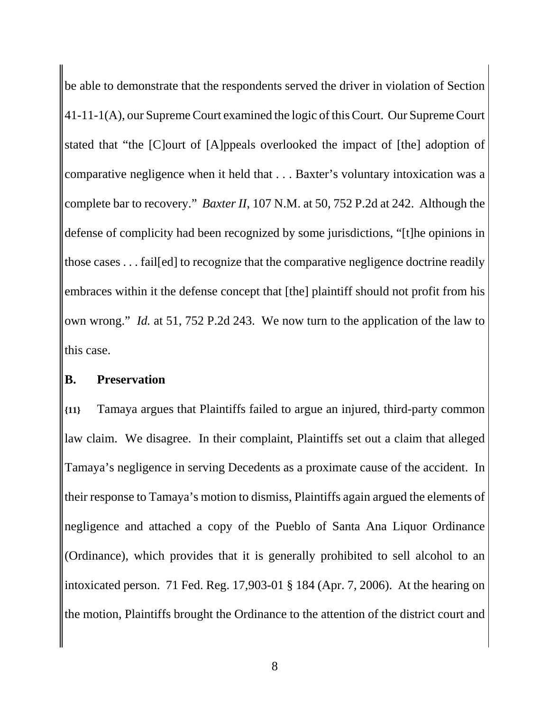be able to demonstrate that the respondents served the driver in violation of Section 41-11-1(A), our Supreme Court examined the logic of this Court. Our Supreme Court stated that "the [C]ourt of [A]ppeals overlooked the impact of [the] adoption of comparative negligence when it held that . . . Baxter's voluntary intoxication was a complete bar to recovery." *Baxter II*, 107 N.M. at 50, 752 P.2d at 242. Although the defense of complicity had been recognized by some jurisdictions, "[t]he opinions in those cases . . . fail[ed] to recognize that the comparative negligence doctrine readily embraces within it the defense concept that [the] plaintiff should not profit from his own wrong." *Id.* at 51, 752 P.2d 243. We now turn to the application of the law to this case.

#### **B. Preservation**

**{11}** Tamaya argues that Plaintiffs failed to argue an injured, third-party common law claim. We disagree. In their complaint, Plaintiffs set out a claim that alleged Tamaya's negligence in serving Decedents as a proximate cause of the accident. In their response to Tamaya's motion to dismiss, Plaintiffs again argued the elements of negligence and attached a copy of the Pueblo of Santa Ana Liquor Ordinance (Ordinance), which provides that it is generally prohibited to sell alcohol to an intoxicated person. 71 Fed. Reg. 17,903-01 § 184 (Apr. 7, 2006). At the hearing on the motion, Plaintiffs brought the Ordinance to the attention of the district court and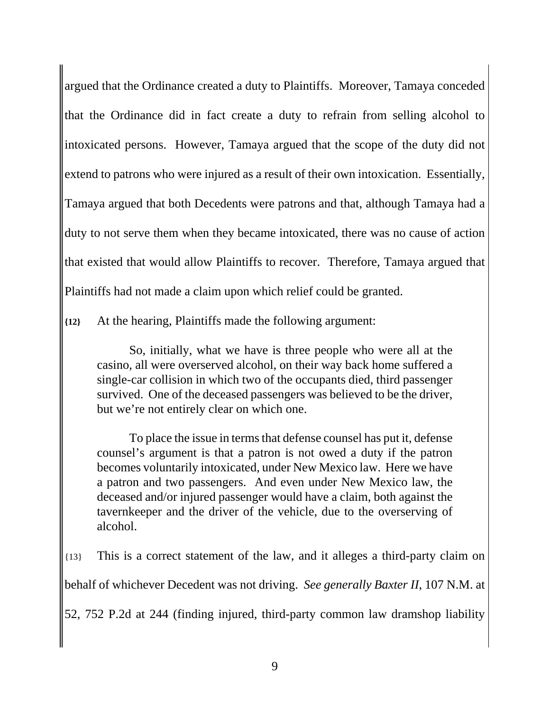argued that the Ordinance created a duty to Plaintiffs. Moreover, Tamaya conceded that the Ordinance did in fact create a duty to refrain from selling alcohol to intoxicated persons. However, Tamaya argued that the scope of the duty did not extend to patrons who were injured as a result of their own intoxication. Essentially, Tamaya argued that both Decedents were patrons and that, although Tamaya had a duty to not serve them when they became intoxicated, there was no cause of action that existed that would allow Plaintiffs to recover. Therefore, Tamaya argued that Plaintiffs had not made a claim upon which relief could be granted.

**{12}** At the hearing, Plaintiffs made the following argument:

So, initially, what we have is three people who were all at the casino, all were overserved alcohol, on their way back home suffered a single-car collision in which two of the occupants died, third passenger survived. One of the deceased passengers was believed to be the driver, but we're not entirely clear on which one.

To place the issue in terms that defense counsel has put it, defense counsel's argument is that a patron is not owed a duty if the patron becomes voluntarily intoxicated, under New Mexico law. Here we have a patron and two passengers. And even under New Mexico law, the deceased and/or injured passenger would have a claim, both against the tavernkeeper and the driver of the vehicle, due to the overserving of alcohol.

{13} This is a correct statement of the law, and it alleges a third-party claim on behalf of whichever Decedent was not driving. *See generally Baxter II*, 107 N.M. at 52, 752 P.2d at 244 (finding injured, third-party common law dramshop liability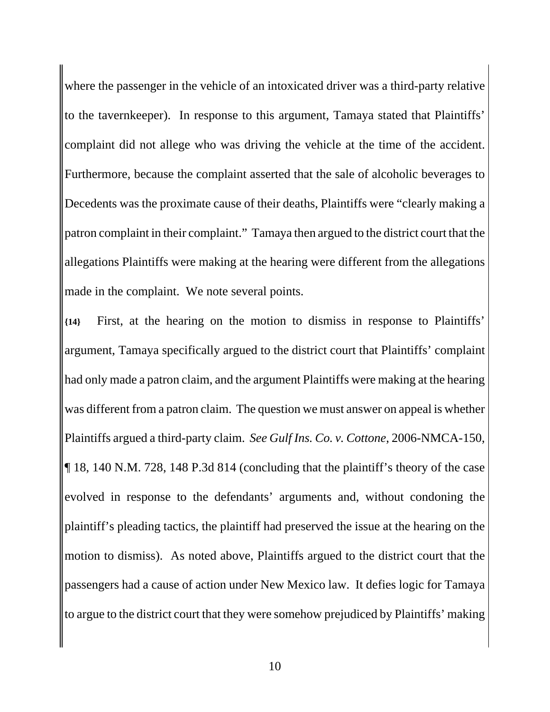where the passenger in the vehicle of an intoxicated driver was a third-party relative to the tavernkeeper). In response to this argument, Tamaya stated that Plaintiffs' complaint did not allege who was driving the vehicle at the time of the accident. Furthermore, because the complaint asserted that the sale of alcoholic beverages to Decedents was the proximate cause of their deaths, Plaintiffs were "clearly making a patron complaint in their complaint." Tamaya then argued to the district court that the allegations Plaintiffs were making at the hearing were different from the allegations made in the complaint. We note several points.

**{14}** First, at the hearing on the motion to dismiss in response to Plaintiffs' argument, Tamaya specifically argued to the district court that Plaintiffs' complaint had only made a patron claim, and the argument Plaintiffs were making at the hearing was different from a patron claim. The question we must answer on appeal is whether Plaintiffs argued a third-party claim. *See Gulf Ins. Co. v. Cottone*, 2006-NMCA-150, ¶ 18, 140 N.M. 728, 148 P.3d 814 (concluding that the plaintiff's theory of the case evolved in response to the defendants' arguments and, without condoning the plaintiff's pleading tactics, the plaintiff had preserved the issue at the hearing on the motion to dismiss). As noted above, Plaintiffs argued to the district court that the passengers had a cause of action under New Mexico law. It defies logic for Tamaya to argue to the district court that they were somehow prejudiced by Plaintiffs' making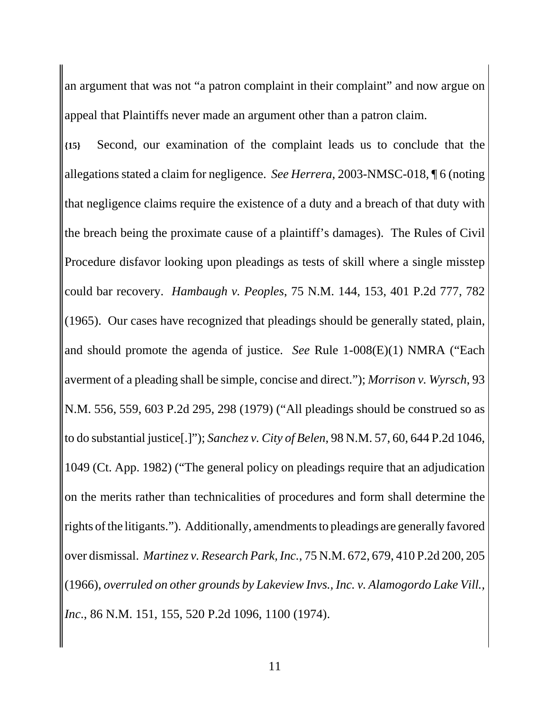an argument that was not "a patron complaint in their complaint" and now argue on appeal that Plaintiffs never made an argument other than a patron claim.

**{15}** Second, our examination of the complaint leads us to conclude that the allegations stated a claim for negligence. *See Herrera*, 2003-NMSC-018, ¶ 6 (noting that negligence claims require the existence of a duty and a breach of that duty with the breach being the proximate cause of a plaintiff's damages). The Rules of Civil Procedure disfavor looking upon pleadings as tests of skill where a single misstep could bar recovery. *Hambaugh v. Peoples*, 75 N.M. 144, 153, 401 P.2d 777, 782 (1965). Our cases have recognized that pleadings should be generally stated, plain, and should promote the agenda of justice. *See* Rule 1-008(E)(1) NMRA ("Each averment of a pleading shall be simple, concise and direct."); *Morrison v. Wyrsch*, 93 N.M. 556, 559, 603 P.2d 295, 298 (1979) ("All pleadings should be construed so as to do substantial justice[.]"); *Sanchez v. City of Belen*, 98 N.M. 57, 60, 644 P.2d 1046, 1049 (Ct. App. 1982) ("The general policy on pleadings require that an adjudication on the merits rather than technicalities of procedures and form shall determine the rights of the litigants."). Additionally, amendments to pleadings are generally favored over dismissal. *Martinez v. Research Park, Inc.*, 75 N.M. 672, 679, 410 P.2d 200, 205 (1966), *overruled on other grounds by Lakeview Invs., Inc. v. Alamogordo Lake Vill., Inc*., 86 N.M. 151, 155, 520 P.2d 1096, 1100 (1974).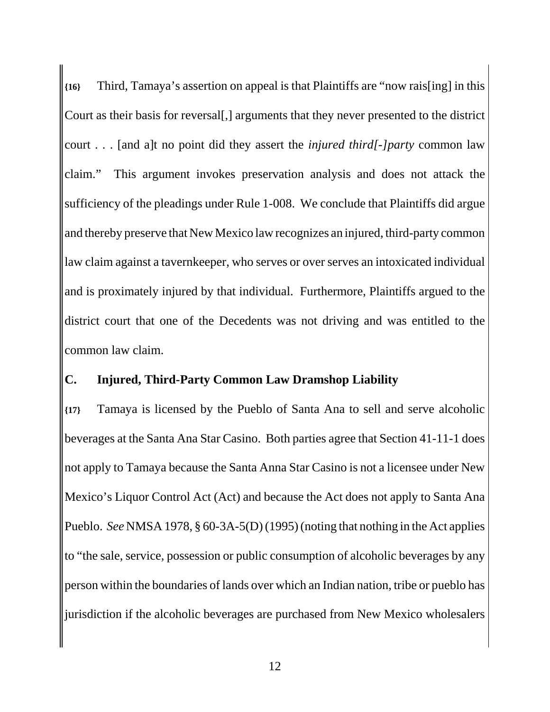**{16}** Third, Tamaya's assertion on appeal is that Plaintiffs are "now rais[ing] in this Court as their basis for reversal[,] arguments that they never presented to the district court . . . [and a]t no point did they assert the *injured third[-]party* common law claim." This argument invokes preservation analysis and does not attack the sufficiency of the pleadings under Rule 1-008. We conclude that Plaintiffs did argue and thereby preserve that New Mexico law recognizes an injured, third-party common law claim against a tavernkeeper, who serves or over serves an intoxicated individual and is proximately injured by that individual. Furthermore, Plaintiffs argued to the district court that one of the Decedents was not driving and was entitled to the common law claim.

### **C. Injured, Third-Party Common Law Dramshop Liability**

**{17}** Tamaya is licensed by the Pueblo of Santa Ana to sell and serve alcoholic beverages at the Santa Ana Star Casino. Both parties agree that Section 41-11-1 does not apply to Tamaya because the Santa Anna Star Casino is not a licensee under New Mexico's Liquor Control Act (Act) and because the Act does not apply to Santa Ana Pueblo. *See* NMSA 1978, § 60-3A-5(D) (1995) (noting that nothing in the Act applies to "the sale, service, possession or public consumption of alcoholic beverages by any person within the boundaries of lands over which an Indian nation, tribe or pueblo has jurisdiction if the alcoholic beverages are purchased from New Mexico wholesalers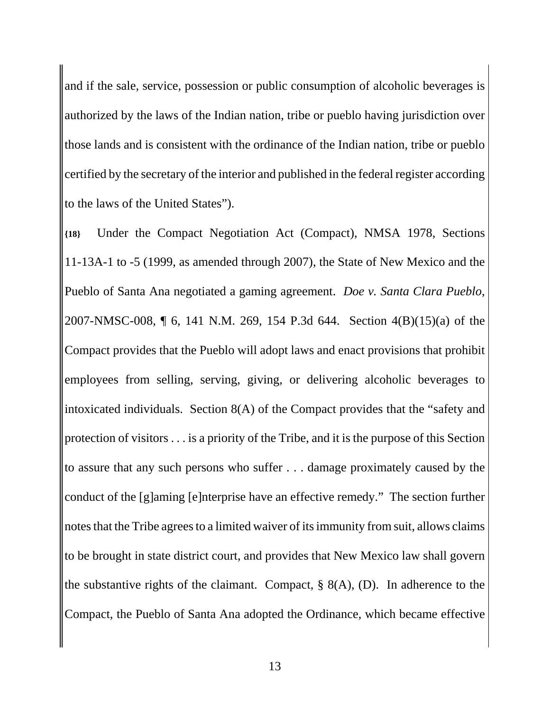and if the sale, service, possession or public consumption of alcoholic beverages is authorized by the laws of the Indian nation, tribe or pueblo having jurisdiction over those lands and is consistent with the ordinance of the Indian nation, tribe or pueblo certified by the secretary of the interior and published in the federal register according to the laws of the United States").

**{18}** Under the Compact Negotiation Act (Compact), NMSA 1978, Sections 11-13A-1 to -5 (1999, as amended through 2007), the State of New Mexico and the Pueblo of Santa Ana negotiated a gaming agreement. *Doe v. Santa Clara Pueblo*, 2007-NMSC-008, ¶ 6, 141 N.M. 269, 154 P.3d 644. Section 4(B)(15)(a) of the Compact provides that the Pueblo will adopt laws and enact provisions that prohibit employees from selling, serving, giving, or delivering alcoholic beverages to intoxicated individuals. Section 8(A) of the Compact provides that the "safety and protection of visitors . . . is a priority of the Tribe, and it is the purpose of this Section to assure that any such persons who suffer . . . damage proximately caused by the conduct of the [g]aming [e]nterprise have an effective remedy." The section further notes that the Tribe agrees to a limited waiver of its immunity from suit, allows claims to be brought in state district court, and provides that New Mexico law shall govern the substantive rights of the claimant. Compact,  $\S$  8(A), (D). In adherence to the Compact, the Pueblo of Santa Ana adopted the Ordinance, which became effective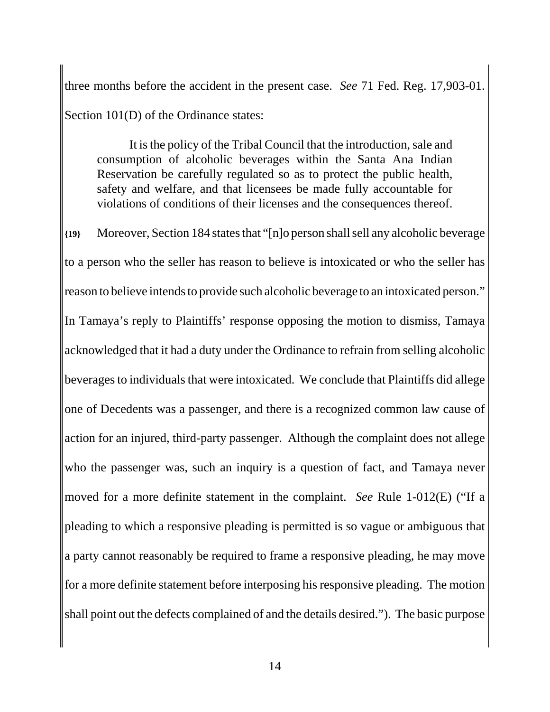three months before the accident in the present case. *See* 71 Fed. Reg. 17,903-01. Section 101(D) of the Ordinance states:

It is the policy of the Tribal Council that the introduction, sale and consumption of alcoholic beverages within the Santa Ana Indian Reservation be carefully regulated so as to protect the public health, safety and welfare, and that licensees be made fully accountable for violations of conditions of their licenses and the consequences thereof.

**{19}** Moreover, Section 184 states that "[n]o person shall sell any alcoholic beverage to a person who the seller has reason to believe is intoxicated or who the seller has reason to believe intends to provide such alcoholic beverage to an intoxicated person." In Tamaya's reply to Plaintiffs' response opposing the motion to dismiss, Tamaya acknowledged that it had a duty under the Ordinance to refrain from selling alcoholic beverages to individuals that were intoxicated. We conclude that Plaintiffs did allege one of Decedents was a passenger, and there is a recognized common law cause of action for an injured, third-party passenger. Although the complaint does not allege who the passenger was, such an inquiry is a question of fact, and Tamaya never moved for a more definite statement in the complaint. *See* Rule 1-012(E) ("If a pleading to which a responsive pleading is permitted is so vague or ambiguous that a party cannot reasonably be required to frame a responsive pleading, he may move for a more definite statement before interposing his responsive pleading. The motion shall point out the defects complained of and the details desired."). The basic purpose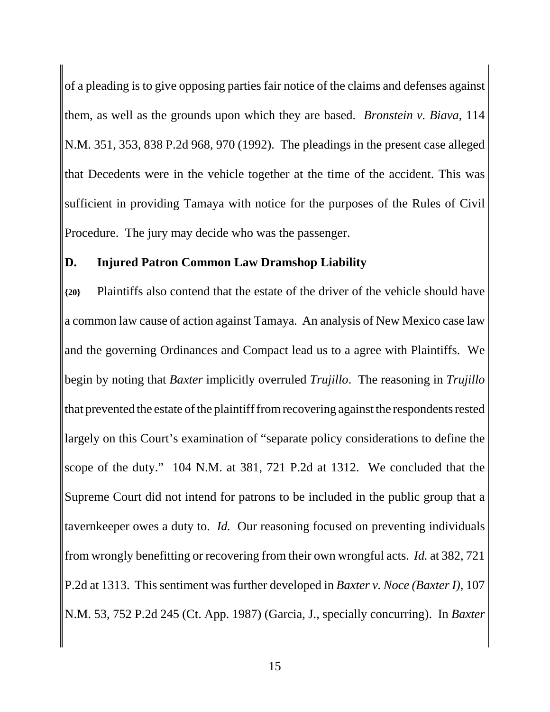of a pleading is to give opposing parties fair notice of the claims and defenses against them, as well as the grounds upon which they are based. *Bronstein v. Biava*, 114 N.M. 351, 353, 838 P.2d 968, 970 (1992). The pleadings in the present case alleged that Decedents were in the vehicle together at the time of the accident. This was sufficient in providing Tamaya with notice for the purposes of the Rules of Civil Procedure. The jury may decide who was the passenger.

#### **D. Injured Patron Common Law Dramshop Liability**

**{20}** Plaintiffs also contend that the estate of the driver of the vehicle should have a common law cause of action against Tamaya. An analysis of New Mexico case law and the governing Ordinances and Compact lead us to a agree with Plaintiffs. We begin by noting that *Baxter* implicitly overruled *Trujillo*. The reasoning in *Trujillo* that prevented the estate of the plaintiff from recovering against the respondents rested largely on this Court's examination of "separate policy considerations to define the scope of the duty." 104 N.M. at 381, 721 P.2d at 1312. We concluded that the Supreme Court did not intend for patrons to be included in the public group that a tavernkeeper owes a duty to. *Id.* Our reasoning focused on preventing individuals from wrongly benefitting or recovering from their own wrongful acts. *Id.* at 382, 721 P.2d at 1313. This sentiment was further developed in *Baxter v. Noce (Baxter I)*, 107 N.M. 53, 752 P.2d 245 (Ct. App. 1987) (Garcia, J., specially concurring). In *Baxter*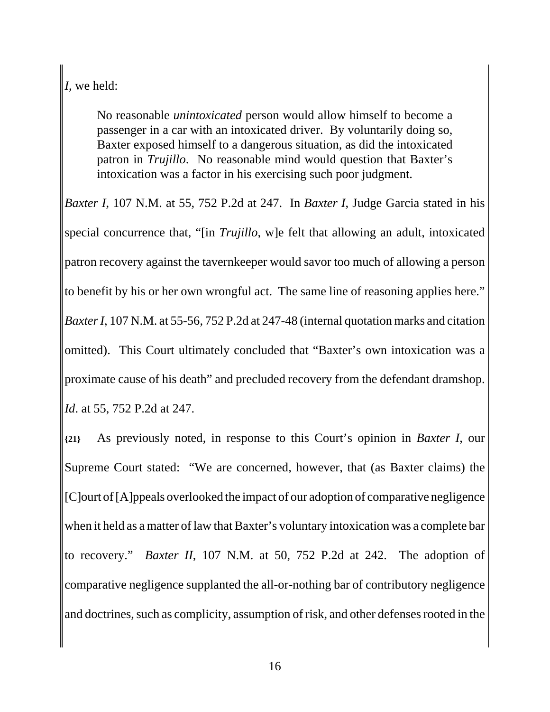*I*, we held:

No reasonable *unintoxicated* person would allow himself to become a passenger in a car with an intoxicated driver. By voluntarily doing so, Baxter exposed himself to a dangerous situation, as did the intoxicated patron in *Trujillo*. No reasonable mind would question that Baxter's intoxication was a factor in his exercising such poor judgment.

*Baxter I*, 107 N.M. at 55, 752 P.2d at 247. In *Baxter I*, Judge Garcia stated in his special concurrence that, "[in *Trujillo*, w]e felt that allowing an adult, intoxicated patron recovery against the tavernkeeper would savor too much of allowing a person to benefit by his or her own wrongful act. The same line of reasoning applies here." *Baxter I*, 107 N.M. at 55-56, 752 P.2d at 247-48 (internal quotation marks and citation omitted). This Court ultimately concluded that "Baxter's own intoxication was a proximate cause of his death" and precluded recovery from the defendant dramshop. *Id*. at 55, 752 P.2d at 247.

**{21}** As previously noted, in response to this Court's opinion in *Baxter I*, our Supreme Court stated: "We are concerned, however, that (as Baxter claims) the [C]ourt of [A]ppeals overlooked the impact of our adoption of comparative negligence when it held as a matter of law that Baxter's voluntary intoxication was a complete bar to recovery." *Baxter II*, 107 N.M. at 50, 752 P.2d at 242. The adoption of comparative negligence supplanted the all-or-nothing bar of contributory negligence and doctrines, such as complicity, assumption of risk, and other defenses rooted in the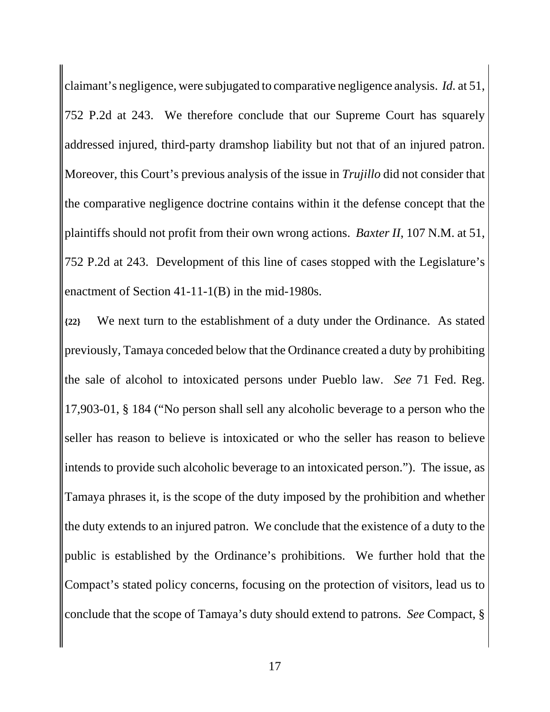claimant's negligence, were subjugated to comparative negligence analysis. *Id.* at 51, 752 P.2d at 243. We therefore conclude that our Supreme Court has squarely addressed injured, third-party dramshop liability but not that of an injured patron. Moreover, this Court's previous analysis of the issue in *Trujillo* did not consider that the comparative negligence doctrine contains within it the defense concept that the plaintiffs should not profit from their own wrong actions. *Baxter II*, 107 N.M. at 51, 752 P.2d at 243. Development of this line of cases stopped with the Legislature's enactment of Section 41-11-1(B) in the mid-1980s.

**{22}** We next turn to the establishment of a duty under the Ordinance. As stated previously, Tamaya conceded below that the Ordinance created a duty by prohibiting the sale of alcohol to intoxicated persons under Pueblo law. *See* 71 Fed. Reg. 17,903-01, § 184 ("No person shall sell any alcoholic beverage to a person who the seller has reason to believe is intoxicated or who the seller has reason to believe intends to provide such alcoholic beverage to an intoxicated person."). The issue, as Tamaya phrases it, is the scope of the duty imposed by the prohibition and whether the duty extends to an injured patron. We conclude that the existence of a duty to the public is established by the Ordinance's prohibitions. We further hold that the Compact's stated policy concerns, focusing on the protection of visitors, lead us to conclude that the scope of Tamaya's duty should extend to patrons. *See* Compact, §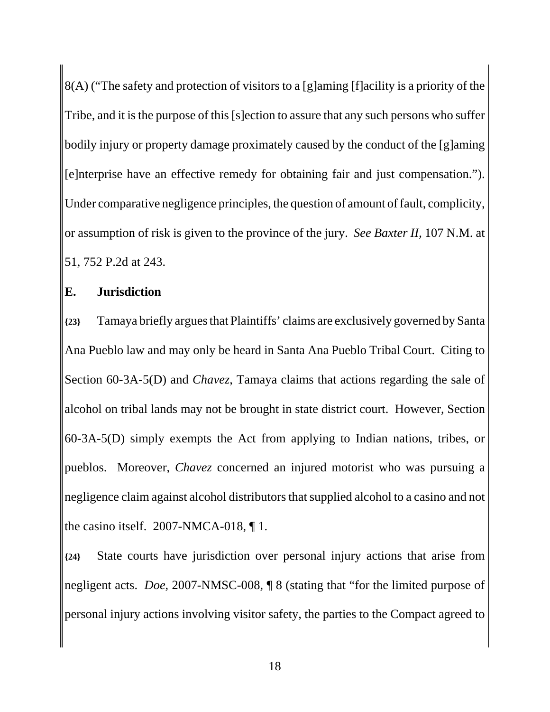8(A) ("The safety and protection of visitors to a [g]aming [f]acility is a priority of the Tribe, and it is the purpose of this [s]ection to assure that any such persons who suffer bodily injury or property damage proximately caused by the conduct of the [g]aming [e]nterprise have an effective remedy for obtaining fair and just compensation."). Under comparative negligence principles, the question of amount of fault, complicity, or assumption of risk is given to the province of the jury. *See Baxter II*, 107 N.M. at 51, 752 P.2d at 243.

## **E. Jurisdiction**

**{23}** Tamaya briefly argues that Plaintiffs' claims are exclusively governed by Santa Ana Pueblo law and may only be heard in Santa Ana Pueblo Tribal Court. Citing to Section 60-3A-5(D) and *Chavez*, Tamaya claims that actions regarding the sale of alcohol on tribal lands may not be brought in state district court. However, Section 60-3A-5(D) simply exempts the Act from applying to Indian nations, tribes, or pueblos. Moreover, *Chavez* concerned an injured motorist who was pursuing a negligence claim against alcohol distributors that supplied alcohol to a casino and not the casino itself. 2007-NMCA-018, ¶ 1.

**{24}** State courts have jurisdiction over personal injury actions that arise from negligent acts. *Doe*, 2007-NMSC-008, ¶ 8 (stating that "for the limited purpose of personal injury actions involving visitor safety, the parties to the Compact agreed to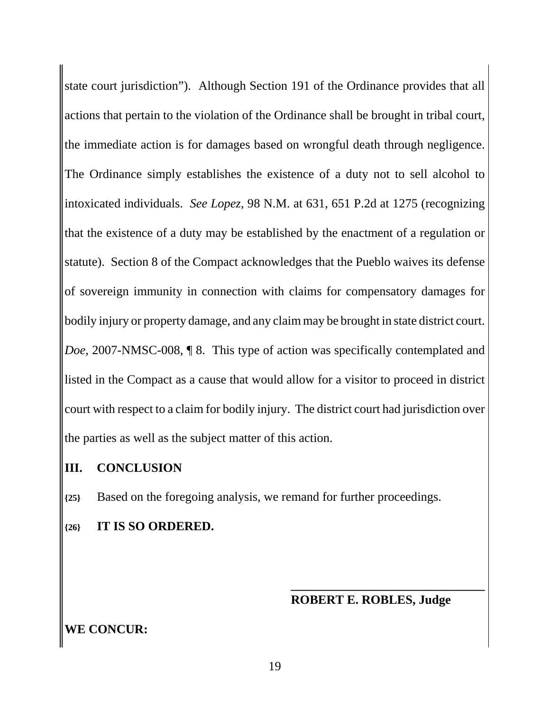state court jurisdiction"). Although Section 191 of the Ordinance provides that all actions that pertain to the violation of the Ordinance shall be brought in tribal court, the immediate action is for damages based on wrongful death through negligence. The Ordinance simply establishes the existence of a duty not to sell alcohol to intoxicated individuals. *See Lopez*, 98 N.M. at 631, 651 P.2d at 1275 (recognizing that the existence of a duty may be established by the enactment of a regulation or statute). Section 8 of the Compact acknowledges that the Pueblo waives its defense of sovereign immunity in connection with claims for compensatory damages for bodily injury or property damage, and any claim may be brought in state district court. *Doe*, 2007-NMSC-008, ¶ 8. This type of action was specifically contemplated and listed in the Compact as a cause that would allow for a visitor to proceed in district court with respect to a claim for bodily injury. The district court had jurisdiction over the parties as well as the subject matter of this action.

### **III. CONCLUSION**

**{25}** Based on the foregoing analysis, we remand for further proceedings.

## **{26} IT IS SO ORDERED.**

### **ROBERT E. ROBLES, Judge**

**\_\_\_\_\_\_\_\_\_\_\_\_\_\_\_\_\_\_\_\_\_\_\_\_\_\_\_\_\_\_\_**

# **WE CONCUR:**